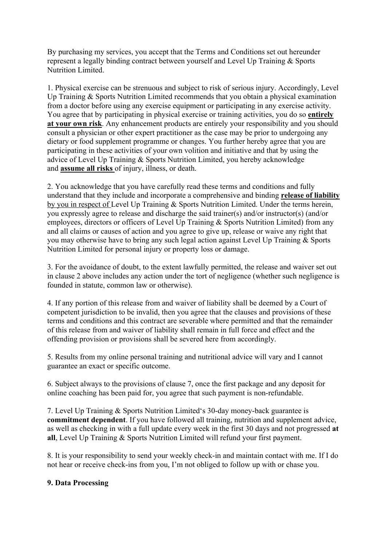By purchasing my services, you accept that the Terms and Conditions set out hereunder represent a legally binding contract between yourself and Level Up Training & Sports Nutrition Limited.

1. Physical exercise can be strenuous and subject to risk of serious injury. Accordingly, Level Up Training & Sports Nutrition Limited recommends that you obtain a physical examination from a doctor before using any exercise equipment or participating in any exercise activity. You agree that by participating in physical exercise or training activities, you do so **entirely at your own risk**. Any enhancement products are entirely your responsibility and you should consult a physician or other expert practitioner as the case may be prior to undergoing any dietary or food supplement programme or changes. You further hereby agree that you are participating in these activities of your own volition and initiative and that by using the advice of Level Up Training & Sports Nutrition Limited, you hereby acknowledge and **assume all risks** of injury, illness, or death.

2. You acknowledge that you have carefully read these terms and conditions and fully understand that they include and incorporate a comprehensive and binding **release of liability**  by you in respect of Level Up Training & Sports Nutrition Limited. Under the terms herein, you expressly agree to release and discharge the said trainer(s) and/or instructor(s) (and/or employees, directors or officers of Level Up Training & Sports Nutrition Limited) from any and all claims or causes of action and you agree to give up, release or waive any right that you may otherwise have to bring any such legal action against Level Up Training & Sports Nutrition Limited for personal injury or property loss or damage.

3. For the avoidance of doubt, to the extent lawfully permitted, the release and waiver set out in clause 2 above includes any action under the tort of negligence (whether such negligence is founded in statute, common law or otherwise).

4. If any portion of this release from and waiver of liability shall be deemed by a Court of competent jurisdiction to be invalid, then you agree that the clauses and provisions of these terms and conditions and this contract are severable where permitted and that the remainder of this release from and waiver of liability shall remain in full force and effect and the offending provision or provisions shall be severed here from accordingly.

5. Results from my online personal training and nutritional advice will vary and I cannot guarantee an exact or specific outcome.

6. Subject always to the provisions of clause 7, once the first package and any deposit for online coaching has been paid for, you agree that such payment is non-refundable.

7. Level Up Training & Sports Nutrition Limited's 30-day money-back guarantee is **commitment dependent**. If you have followed all training, nutrition and supplement advice, as well as checking in with a full update every week in the first 30 days and not progressed **at all**, Level Up Training & Sports Nutrition Limited will refund your first payment.

8. It is your responsibility to send your weekly check-in and maintain contact with me. If I do not hear or receive check-ins from you, I'm not obliged to follow up with or chase you.

## **9. Data Processing**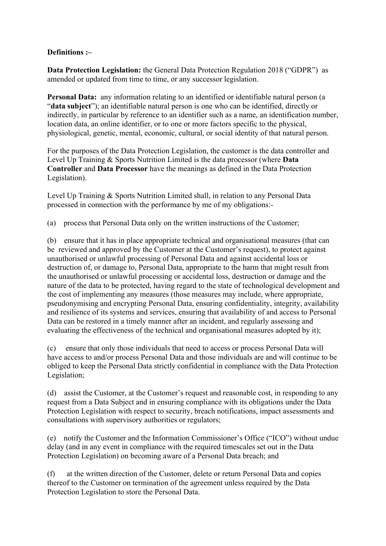## **Definitions :–**

**Data Protection Legislation:** the General Data Protection Regulation 2018 ("GDPR") as amended or updated from time to time, or any successor legislation.

**Personal Data:** any information relating to an identified or identifiable natural person (a "**data subject**"); an identifiable natural person is one who can be identified, directly or indirectly, in particular by reference to an identifier such as a name, an identification number, location data, an online identifier, or to one or more factors specific to the physical, physiological, genetic, mental, economic, cultural, or social identity of that natural person.

For the purposes of the Data Protection Legislation, the customer is the data controller and Level Up Training & Sports Nutrition Limited is the data processor (where **Data Controller** and **Data Processor** have the meanings as defined in the Data Protection Legislation).

Level Up Training & Sports Nutrition Limited shall, in relation to any Personal Data processed in connection with the performance by me of my obligations:-

(a) process that Personal Data only on the written instructions of the Customer;

(b) ensure that it has in place appropriate technical and organisational measures (that can be reviewed and approved by the Customer at the Customer's request), to protect against unauthorised or unlawful processing of Personal Data and against accidental loss or destruction of, or damage to, Personal Data, appropriate to the harm that might result from the unauthorised or unlawful processing or accidental loss, destruction or damage and the nature of the data to be protected, having regard to the state of technological development and the cost of implementing any measures (those measures may include, where appropriate, pseudonymising and encrypting Personal Data, ensuring confidentiality, integrity, availability and resilience of its systems and services, ensuring that availability of and access to Personal Data can be restored in a timely manner after an incident, and regularly assessing and evaluating the effectiveness of the technical and organisational measures adopted by it);

(c) ensure that only those individuals that need to access or process Personal Data will have access to and/or process Personal Data and those individuals are and will continue to be obliged to keep the Personal Data strictly confidential in compliance with the Data Protection Legislation;

(d) assist the Customer, at the Customer's request and reasonable cost, in responding to any request from a Data Subject and in ensuring compliance with its obligations under the Data Protection Legislation with respect to security, breach notifications, impact assessments and consultations with supervisory authorities or regulators;

(e) notify the Customer and the Information Commissioner's Office ("ICO") without undue delay (and in any event in compliance with the required timescales set out in the Data Protection Legislation) on becoming aware of a Personal Data breach; and

(f) at the written direction of the Customer, delete or return Personal Data and copies thereof to the Customer on termination of the agreement unless required by the Data Protection Legislation to store the Personal Data.